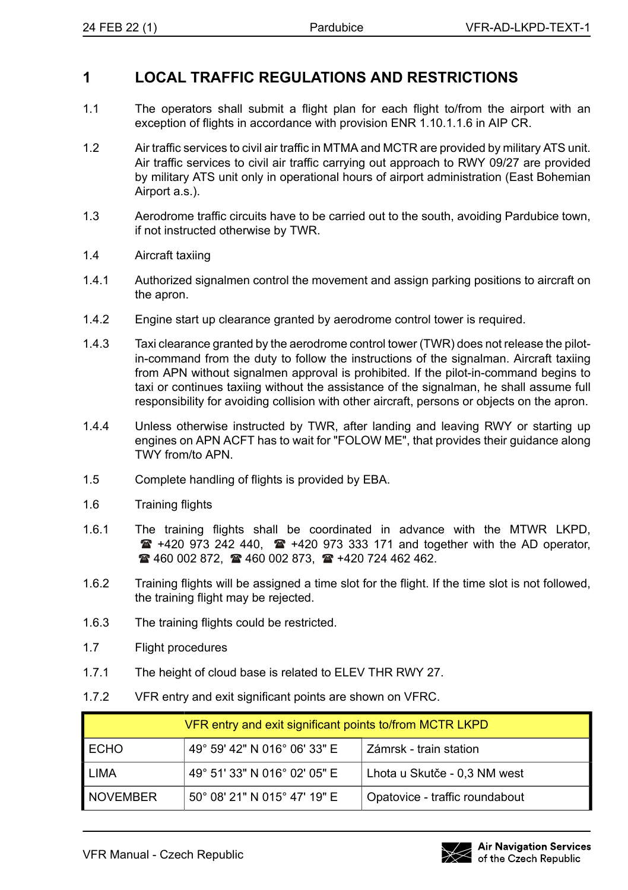## **1 LOCAL TRAFFIC REGULATIONS AND RESTRICTIONS**

- 1.1 The operators shall submit a flight plan for each flight to/from the airport with an exception of flights in accordance with provision ENR 1.10.1.1.6 in AIP CR.
- 1.2 Air traffic services to civil air traffic in MTMA and MCTR are provided by military ATS unit. Air traffic services to civil air traffic carrying out approach to RWY 09/27 are provided by military ATS unit only in operational hours of airport administration (East Bohemian Airport a.s.).
- 1.3 Aerodrome traffic circuits have to be carried out to the south, avoiding Pardubice town, if not instructed otherwise by TWR.
- 1.4 Aircraft taxiing
- 1.4.1 Authorized signalmen control the movement and assign parking positions to aircraft on the apron.
- 1.4.2 Engine start up clearance granted by aerodrome control tower is required.
- 1.4.3 Taxi clearance granted by the aerodrome control tower (TWR) does not release the pilotin-command from the duty to follow the instructions of the signalman. Aircraft taxiing from APN without signalmen approval is prohibited. If the pilot-in-command begins to taxi or continues taxiing without the assistance of the signalman, he shall assume full responsibility for avoiding collision with other aircraft, persons or objects on the apron.
- 1.4.4 Unless otherwise instructed by TWR, after landing and leaving RWY or starting up engines on APN ACFT has to wait for "FOLOW ME", that provides their guidance along TWY from/to APN.
- 1.5 Complete handling of flights is provided by EBA.
- 1.6 Training flights
- 1.6.1 The training flights shall be coordinated in advance with the MTWR LKPD,  $\mathbf{F}$  +420 973 242 440,  $\mathbf{F}$  +420 973 333 171 and together with the AD operator,  $\approx$  460 002 872,  $\approx$  460 002 873,  $\approx$  +420 724 462 462.
- 1.6.2 Training flights will be assigned a time slot for the flight. If the time slot is not followed, the training flight may be rejected.
- 1.6.3 The training flights could be restricted.
- 1.7 Flight procedures
- 1.7.1 The height of cloud base is related to ELEV THR RWY 27.
- 1.7.2 VFR entry and exit significant points are shown on VFRC.

| VFR entry and exit significant points to/from MCTR LKPD |                              |                                |  |
|---------------------------------------------------------|------------------------------|--------------------------------|--|
| <b>ECHO</b>                                             | 49° 59' 42" N 016° 06' 33" E | l Zámrsk - train station.      |  |
| <b>LIMA</b>                                             | 49° 51' 33" N 016° 02' 05" E | Lhota u Skutče - 0,3 NM west   |  |
| <b>NOVEMBER</b>                                         | 50° 08' 21" N 015° 47' 19" E | Opatovice - traffic roundabout |  |